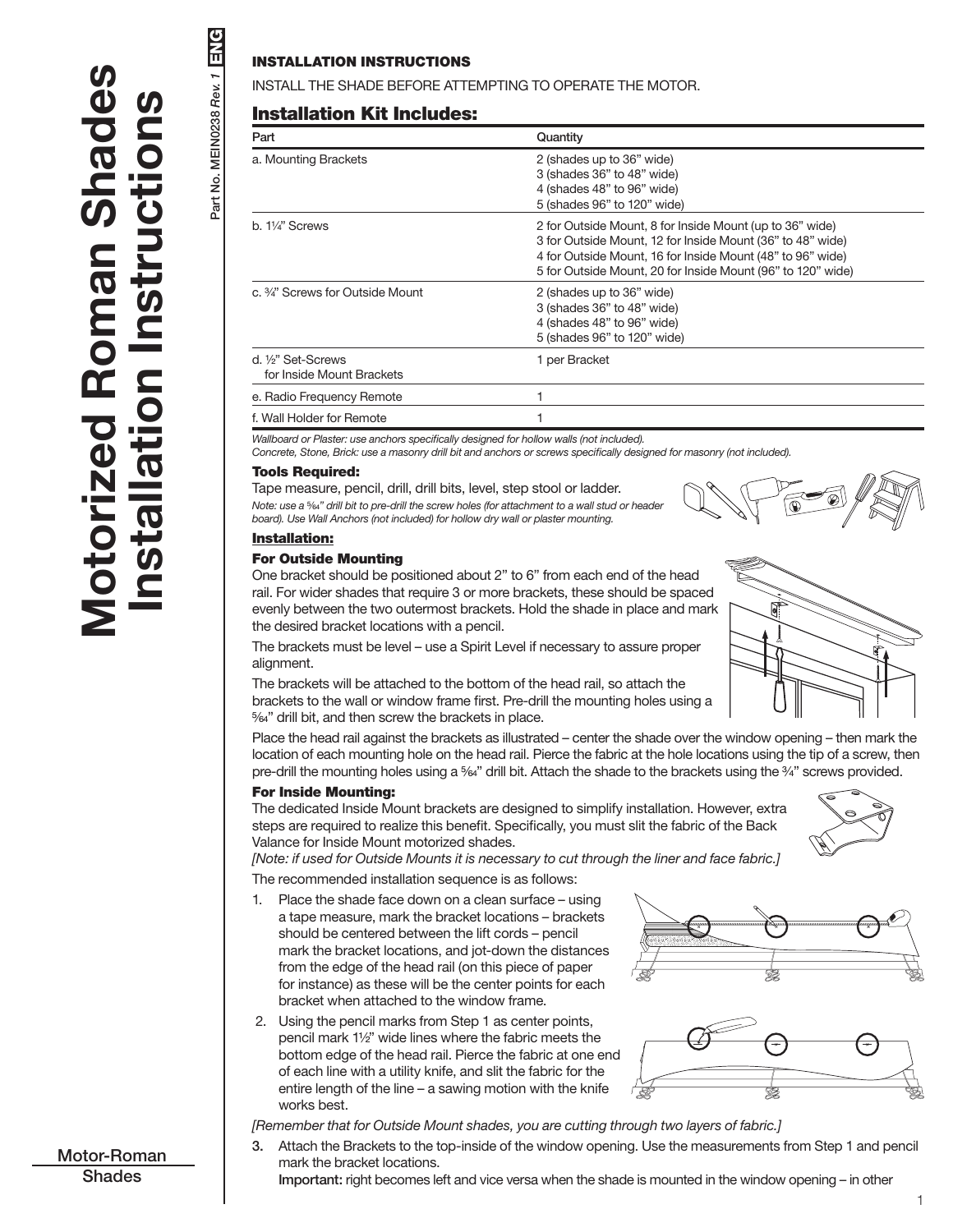Part No. MEIN0238 *Rev. 1* ENG

Part No. MEIN0238 Rev. 1

ENG

## INSTALLATION INSTRUCTIONS

INSTALL THE SHADE BEFORE ATTEMPTING TO OPERATE THE MOTOR.

## Installation Kit Includes:

| Part                                          | Quantity                                                                                                                                                                                                                                            |
|-----------------------------------------------|-----------------------------------------------------------------------------------------------------------------------------------------------------------------------------------------------------------------------------------------------------|
| a. Mounting Brackets                          | 2 (shades up to 36" wide)<br>3 (shades 36" to 48" wide)<br>4 (shades 48" to 96" wide)<br>5 (shades 96" to 120" wide)                                                                                                                                |
| b. 1¼" Screws                                 | 2 for Outside Mount, 8 for Inside Mount (up to 36" wide)<br>3 for Outside Mount, 12 for Inside Mount (36" to 48" wide)<br>4 for Outside Mount, 16 for Inside Mount (48" to 96" wide)<br>5 for Outside Mount, 20 for Inside Mount (96" to 120" wide) |
| c. 3⁄4" Screws for Outside Mount              | 2 (shades up to 36" wide)<br>3 (shades 36" to 48" wide)<br>4 (shades 48" to 96" wide)<br>5 (shades 96" to 120" wide)                                                                                                                                |
| d. ½" Set-Screws<br>for Inside Mount Brackets | 1 per Bracket                                                                                                                                                                                                                                       |
| e. Radio Frequency Remote                     |                                                                                                                                                                                                                                                     |
| f. Wall Holder for Remote                     |                                                                                                                                                                                                                                                     |

*Wallboard or Plaster: use anchors specifically designed for hollow walls (not included).*

*Concrete, Stone, Brick: use a masonry drill bit and anchors or screws specifically designed for masonry (not included).*

#### Tools Required:

Tape measure, pencil, drill, drill bits, level, step stool or ladder. *Note: use a* <sup>5</sup>/64" drill bit to pre-drill the screw holes (for attachment to a wall stud or header *board). Use Wall Anchors (not included) for hollow dry wall or plaster mounting.*



## Installation:

#### For Outside Mounting

One bracket should be positioned about 2" to 6" from each end of the head rail. For wider shades that require 3 or more brackets, these should be spaced evenly between the two outermost brackets. Hold the shade in place and mark the desired bracket locations with a pencil.

The brackets must be level – use a Spirit Level if necessary to assure proper alignment.

The brackets will be attached to the bottom of the head rail, so attach the brackets to the wall or window frame first. Pre-drill the mounting holes using a 5/64" drill bit, and then screw the brackets in place.

Place the head rail against the brackets as illustrated – center the shade over the window opening – then mark the location of each mounting hole on the head rail. Pierce the fabric at the hole locations using the tip of a screw, then pre-drill the mounting holes using a 5/64" drill bit. Attach the shade to the brackets using the 3/4" screws provided.

#### For Inside Mounting:

The dedicated Inside Mount brackets are designed to simplify installation. However, extra steps are required to realize this benefit. Specifically, you must slit the fabric of the Back Valance for Inside Mount motorized shades.



*[Note: if used for Outside Mounts it is necessary to cut through the liner and face fabric.]*

The recommended installation sequence is as follows:

- 1. Place the shade face down on a clean surface using a tape measure, mark the bracket locations – brackets should be centered between the lift cords – pencil mark the bracket locations, and jot-down the distances from the edge of the head rail (on this piece of paper for instance) as these will be the center points for each bracket when attached to the window frame.
- 2. Using the pencil marks from Step 1 as center points, pencil mark 11/2" wide lines where the fabric meets the bottom edge of the head rail. Pierce the fabric at one end of each line with a utility knife, and slit the fabric for the entire length of the line – a sawing motion with the knife works best.





*[Remember that for Outside Mount shades, you are cutting through two layers of fabric.]*

3. Attach the Brackets to the top-inside of the window opening. Use the measurements from Step 1 and pencil mark the bracket locations.

Important: right becomes left and vice versa when the shade is mounted in the window opening – in other